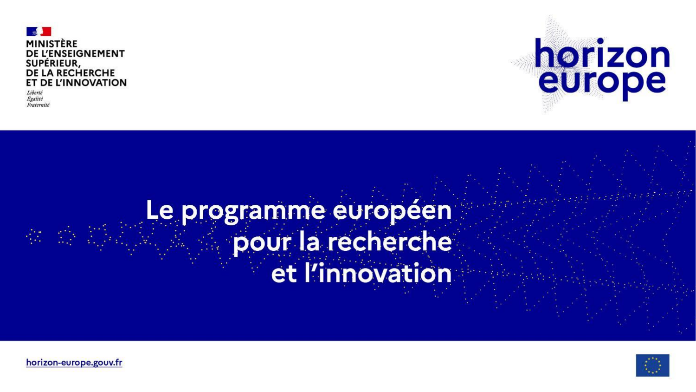

Fraternité

激 感



# Le programme européen pour la recherche et l'innovation



horizon-europe.gouv.fr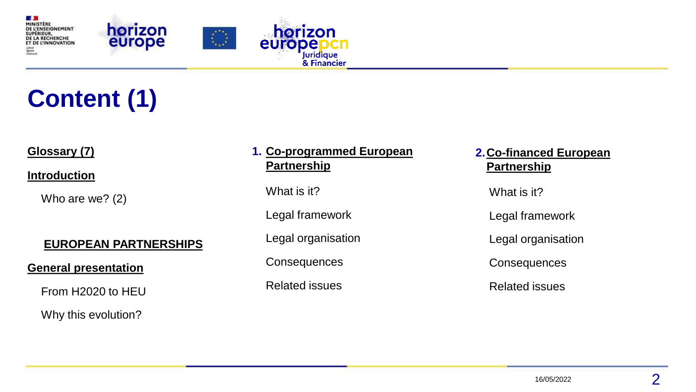

## **Content (1)**

#### **Glossary (7)**

**[Introduction](#page-3-0)**

Who are we? (2)

#### **[EUROPEAN PARTNERSHIPS](#page-6-0)**

#### **General [presentation](#page-7-0)**

From H2020 to HEU

Why this evolution?

#### **1. [Co-programmed European](#page-10-0) Partnership**

What is it?

Legal framework

Legal organisation

**Consequences** 

Related issues

**[2.Co-financed European](#page-16-0)  Partnership**

What is it?

Legal framework

Legal organisation

**Consequences** 

Related issues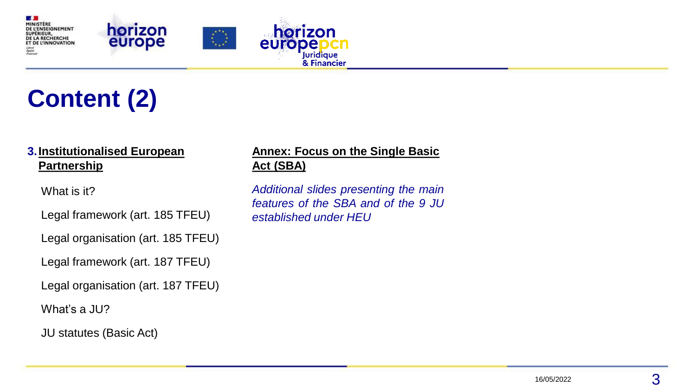

## **Content (2)**

#### **[3.Institutionalised European](#page-23-0)  Partnership**

What is it?

Legal framework (art. 185 TFEU)

Legal organisation (art. 185 TFEU)

Legal framework (art. 187 TFEU)

Legal organisation (art. 187 TFEU)

What's a JU?

JU statutes (Basic Act)

#### **Annex: Focus on the Single Basic Act (SBA)**

*Additional slides presenting the main features of the SBA and of the 9 JU established under HEU*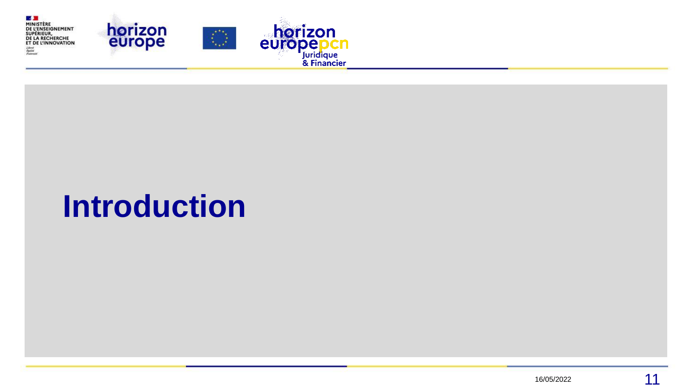<span id="page-3-0"></span>

# **Introduction**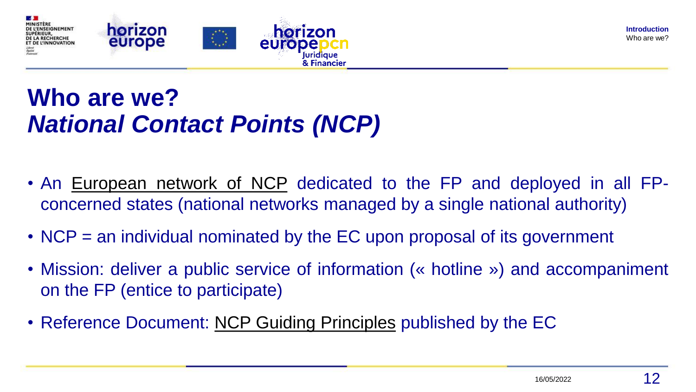

### **Who are we?** *National Contact Points (NCP)*

- An [European](https://ec.europa.eu/info/funding-tenders/opportunities/portal/screen/support/ncp) network of NCP dedicated to the FP and deployed in all FPconcerned states (national networks managed by a single national authority)
- NCP = an individual nominated by the EC upon proposal of its government
- Mission: deliver a public service of information (« hotline ») and accompaniment on the FP (entice to participate)
- Reference Document: NCP Guiding [Principles](https://ec.europa.eu/info/funding-tenders/opportunities/docs/2021-2027/horizon/guidance/ncp-guiding-principles_he_en.pdf) published by the EC

**Introduction**  Who are we?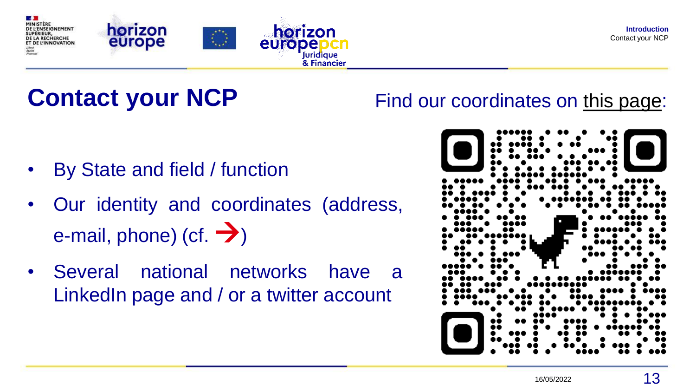



## **Contact your NCP**

- By State and field / function
- Our identity and coordinates (address, e-mail, phone) (cf.  $\rightarrow$ )
- Several national networks have a LinkedIn page and / or a twitter account

### Find our coordinates on [this page:](https://ec.europa.eu/info/funding-tenders/opportunities/portal/screen/support/ncp)



**Introduction**  Contact your NCP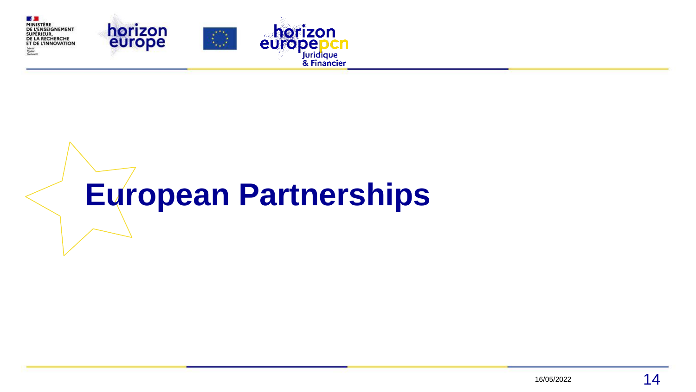<span id="page-6-0"></span>

# **European Partnerships**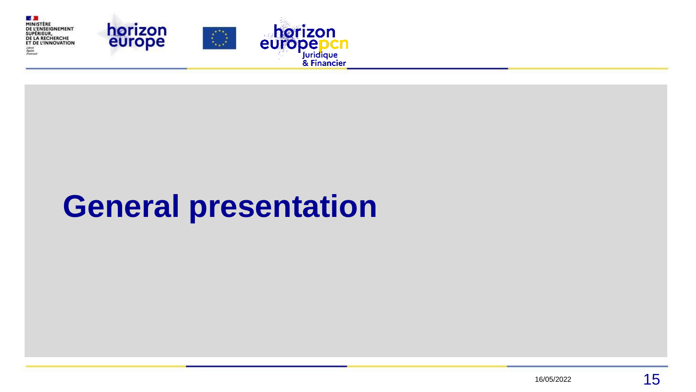<span id="page-7-0"></span>

# **General presentation**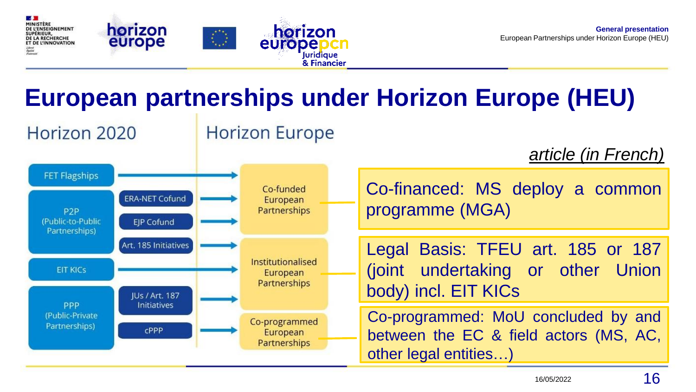

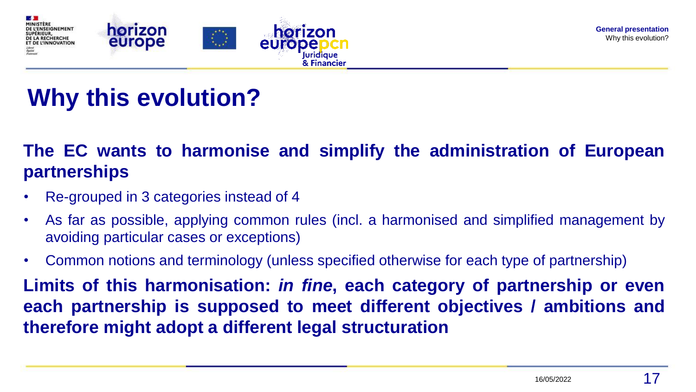

### **Why this evolution?**

### **The EC wants to harmonise and simplify the administration of European partnerships**

- Re-grouped in 3 categories instead of 4
- As far as possible, applying common rules (incl. a harmonised and simplified management by avoiding particular cases or exceptions)
- Common notions and terminology (unless specified otherwise for each type of partnership)

**Limits of this harmonisation:** *in fine***, each category of partnership or even each partnership is supposed to meet different objectives / ambitions and therefore might adopt a different legal structuration**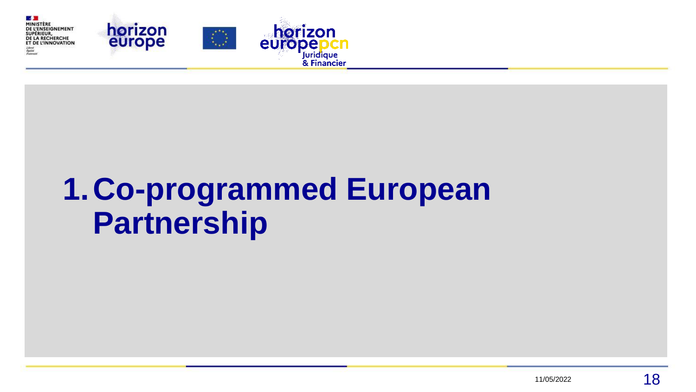<span id="page-10-0"></span>

# **1.Co-programmed European Partnership**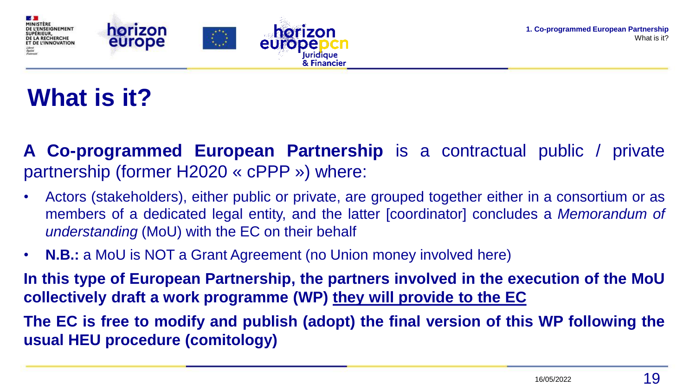

## **What is it?**

**A Co-programmed European Partnership** is a contractual public / private partnership (former H2020 « cPPP ») where:

- Actors (stakeholders), either public or private, are grouped together either in a consortium or as members of a dedicated legal entity, and the latter [coordinator] concludes a *Memorandum of understanding* (MoU) with the EC on their behalf
- **N.B.:** a MoU is NOT a Grant Agreement (no Union money involved here)

**In this type of European Partnership, the partners involved in the execution of the MoU collectively draft a work programme (WP) they will provide to the EC**

**The EC is free to modify and publish (adopt) the final version of this WP following the usual HEU procedure (comitology)**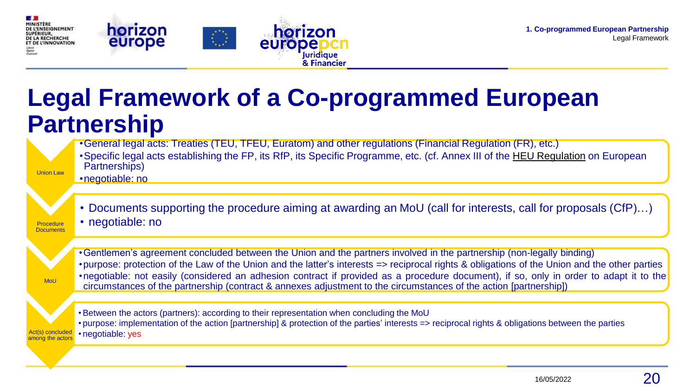

Act(s) concluded among the actors

### **Legal Framework of a Co-programmed European Partnership**

Union Law •General legal acts: Treaties (TEU, TFEU, Euratom) and other regulations (Financial Regulation (FR), etc.) •Specific legal acts establishing the FP, its RfP, its Specific Programme, etc. (cf. Annex III of the [HEU Regulation](http://data.europa.eu/eli/reg/2021/695/oj) on European Partnerships) •negotiable: no **Procedure Documents** • Documents supporting the procedure aiming at awarding an MoU (call for interests, call for proposals (CfP)…) • negotiable: no **MoU** •Gentlemen's agreement concluded between the Union and the partners involved in the partnership (non-legally binding) •purpose: protection of the Law of the Union and the latter's interests => reciprocal rights & obligations of the Union and the other parties •negotiable: not easily (considered an adhesion contract if provided as a procedure document), if so, only in order to adapt it to the circumstances of the partnership (contract & annexes adjustment to the circumstances of the action [partnership])

•Between the actors (partners): according to their representation when concluding the MoU • purpose: implementation of the action [partnership] & protection of the parties' interests => reciprocal rights & obligations between the parties • negotiable: yes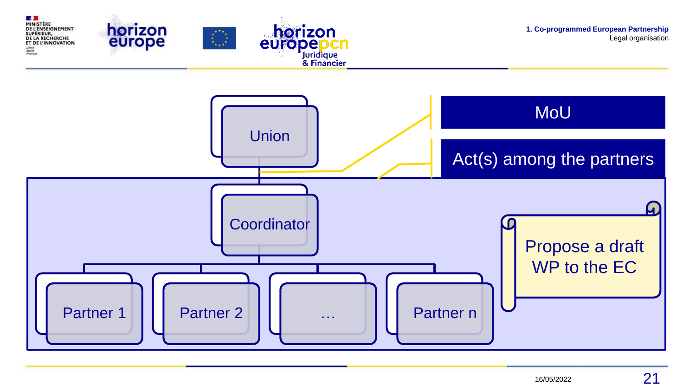

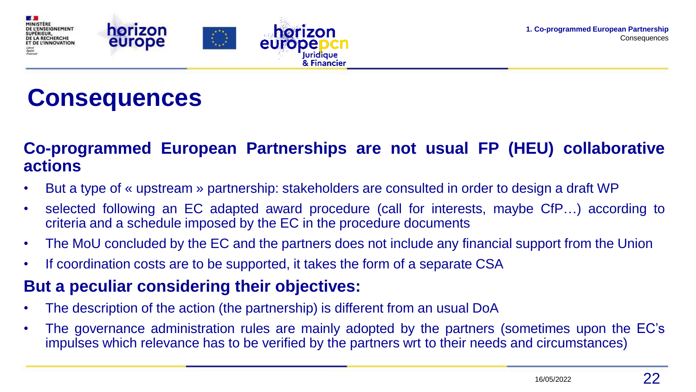

### **Consequences**

### **Co-programmed European Partnerships are not usual FP (HEU) collaborative actions**

• But a type of « upstream » partnership: stakeholders are consulted in order to design a draft WP

Juridique & Financier

- selected following an EC adapted award procedure (call for interests, maybe CfP…) according to criteria and a schedule imposed by the EC in the procedure documents
- The MoU concluded by the EC and the partners does not include any financial support from the Union
- If coordination costs are to be supported, it takes the form of a separate CSA

#### **But a peculiar considering their objectives:**

- The description of the action (the partnership) is different from an usual DoA
- The governance administration rules are mainly adopted by the partners (sometimes upon the EC's impulses which relevance has to be verified by the partners wrt to their needs and circumstances)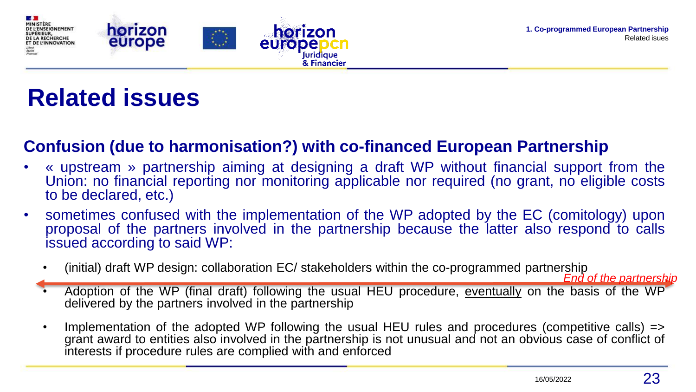

### **Related issues**

### **Confusion (due to harmonisation?) with co-financed European Partnership**

**Juridigue** & Financier

- « upstream » partnership aiming at designing a draft WP without financial support from the Union: no financial reporting nor monitoring applicable nor required (no grant, no eligible costs to be declared, etc.)
- sometimes confused with the implementation of the WP adopted by the EC (comitology) upon proposal of the partners involved in the partnership because the latter also respond to calls issued according to said WP:
	- (initial) draft WP design: collaboration EC/ stakeholders within the co-programmed partnership

*End of the partnership*

- Adoption of the WP (final draft) following the usual HEU procedure, eventually on the basis of the WP delivered by the partners involved in the partnership
- Implementation of the adopted WP following the usual HEU rules and procedures (competitive calls) => grant award to entities also involved in the partnership is not unusual and not an obvious case of conflict of interests if procedure rules are complied with and enforced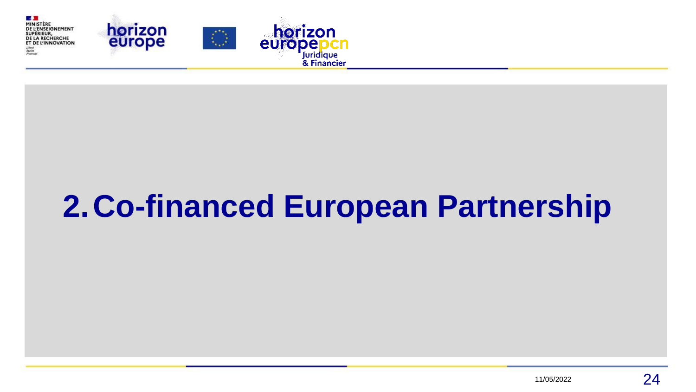<span id="page-16-0"></span>

# **2.Co-financed European Partnership**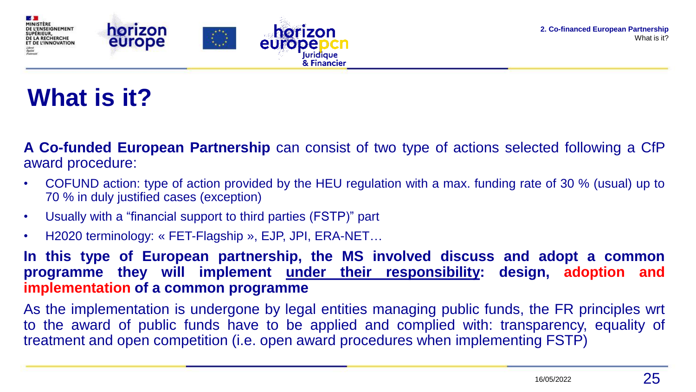

## **What is it?**

**A Co-funded European Partnership** can consist of two type of actions selected following a CfP award procedure:

- COFUND action: type of action provided by the HEU regulation with a max. funding rate of 30 % (usual) up to 70 % in duly justified cases (exception)
- Usually with a "financial support to third parties (FSTP)" part
- H2020 terminology: « FET-Flagship », EJP, JPI, ERA-NET…

**In this type of European partnership, the MS involved discuss and adopt a common programme they will implement under their responsibility: design, adoption and implementation of a common programme**

As the implementation is undergone by legal entities managing public funds, the FR principles wrt to the award of public funds have to be applied and complied with: transparency, equality of treatment and open competition (i.e. open award procedures when implementing FSTP)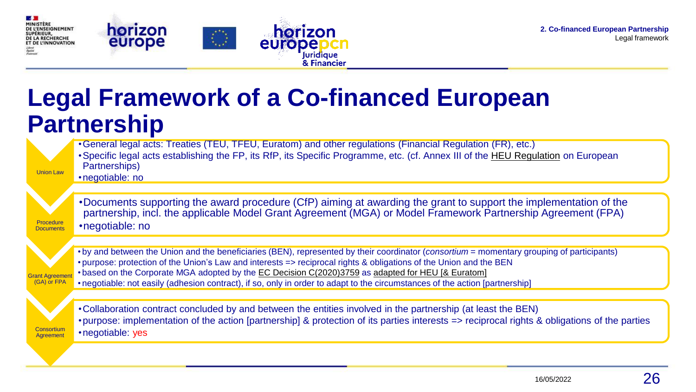

**Consortium Agreement** 

### **Legal Framework of a Co-financed European Partnership**

Union Law •General legal acts: Treaties (TEU, TFEU, Euratom) and other regulations (Financial Regulation (FR), etc.) •Specific legal acts establishing the FP, its RfP, its Specific Programme, etc. (cf. Annex III of the [HEU Regulation](http://data.europa.eu/eli/reg/2021/695/oj) on European Partnerships) •negotiable: no **Procedure Documents** •Documents supporting the award procedure (CfP) aiming at awarding the grant to support the implementation of the partnership, incl. the applicable Model Grant Agreement (MGA) or Model Framework Partnership Agreement (FPA) •negotiable: no **Grant Agreeme** (GA) or FPA • by and between the Union and the beneficiaries (BEN), represented by their coordinator (*consortium* = momentary grouping of participants) • purpose: protection of the Union's Law and interests => reciprocal rights & obligations of the Union and the BEN • based on the Corporate MGA adopted by the EC Decision [C\(2020\)3759](https://ec.europa.eu/transparency/regdoc/?fuseaction=list&coteId=3&year=2020&number=3759&version=ALL&language=fr) as adapted for HEU [& [Euratom\]](https://ec.europa.eu/info/funding-tenders/opportunities/docs/2021-2027/common/agr-contr/general-mga_horizon-euratom_en.pdf) • negotiable: not easily (adhesion contract), if so, only in order to adapt to the circumstances of the action [partnership]

•Collaboration contract concluded by and between the entities involved in the partnership (at least the BEN) •purpose: implementation of the action [partnership] & protection of its parties interests => reciprocal rights & obligations of the parties •negotiable: yes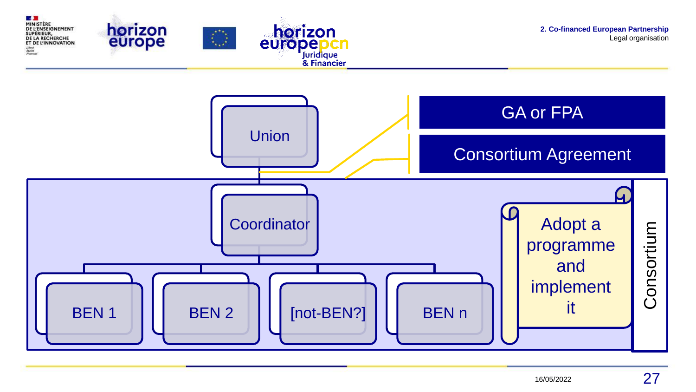

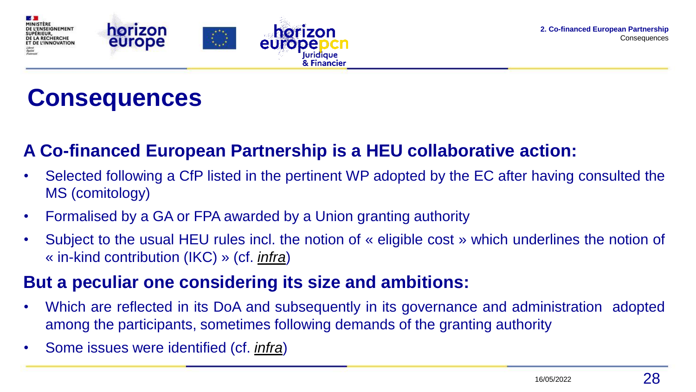

### **Consequences**

### **A Co-financed European Partnership is a HEU collaborative action:**

- Selected following a CfP listed in the pertinent WP adopted by the EC after having consulted the MS (comitology)
- Formalised by a GA or FPA awarded by a Union granting authority
- Subject to the usual HEU rules incl. the notion of « eligible cost » which underlines the notion of « in-kind contribution (IKC) » (cf. *[infra](#page-21-0)*)

#### **But a peculiar one considering its size and ambitions:**

- Which are reflected in its DoA and subsequently in its governance and administration adopted among the participants, sometimes following demands of the granting authority
- Some issues were identified (cf. *[infra](#page-22-0)*)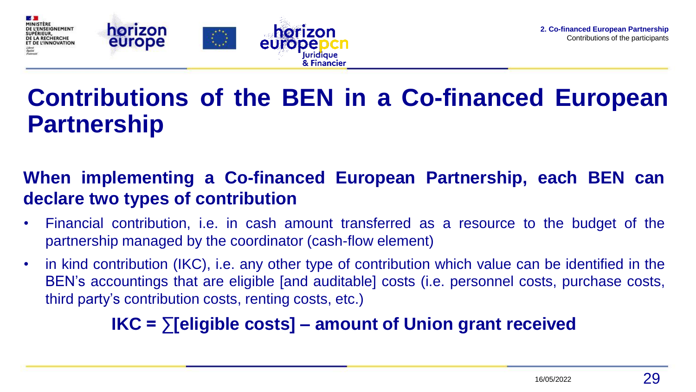<span id="page-21-0"></span>

## **Contributions of the BEN in a Co-financed European Partnership**

### **When implementing a Co-financed European Partnership, each BEN can declare two types of contribution**

- Financial contribution, i.e. in cash amount transferred as a resource to the budget of the partnership managed by the coordinator (cash-flow element)
- in kind contribution (IKC), i.e. any other type of contribution which value can be identified in the BEN's accountings that are eligible [and auditable] costs (i.e. personnel costs, purchase costs, third party's contribution costs, renting costs, etc.)

### **IKC = ∑[eligible costs] – amount of Union grant received**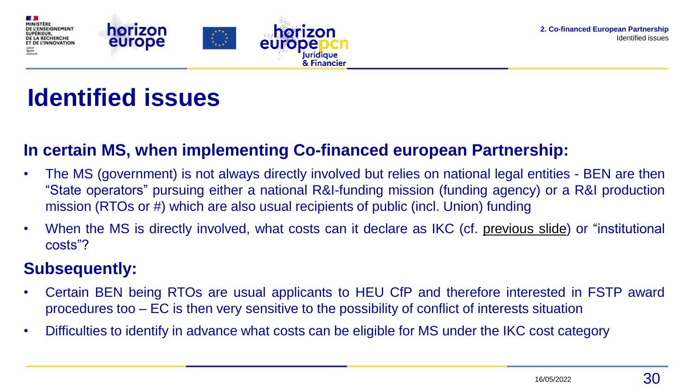<span id="page-22-0"></span>

### **Identified issues**

#### **In certain MS, when implementing Co-financed european Partnership:**

- The MS (government) is not always directly involved but relies on national legal entities BEN are then "State operators" pursuing either a national R&I-funding mission (funding agency) or a R&I production mission (RTOs or #) which are also usual recipients of public (incl. Union) funding
- When the MS is directly involved, what costs can it declare as IKC (cf. [previous](#page-21-0) slide) or "institutional costs"?

### **Subsequently:**

- Certain BEN being RTOs are usual applicants to HEU CfP and therefore interested in FSTP award procedures too – EC is then very sensitive to the possibility of conflict of interests situation
- Difficulties to identify in advance what costs can be eligible for MS under the IKC cost category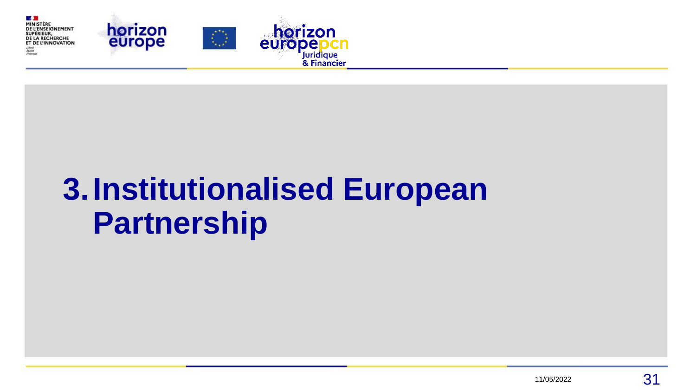<span id="page-23-0"></span>

# **3.Institutionalised European Partnership**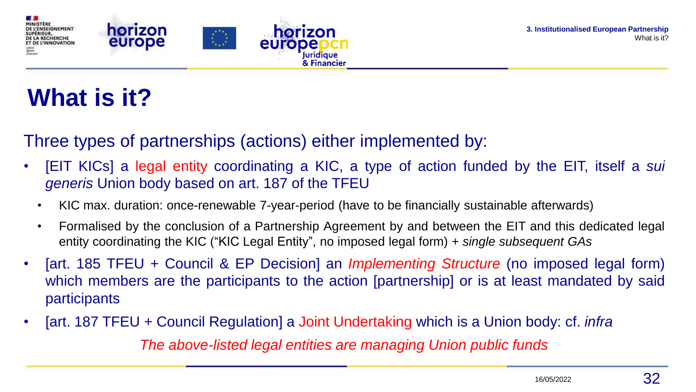

## **What is it?**

### Three types of partnerships (actions) either implemented by:

- [EIT KICs] a legal entity coordinating a KIC, a type of action funded by the EIT, itself a *sui generis* Union body based on art. 187 of the TFEU
	- KIC max. duration: once-renewable 7-year-period (have to be financially sustainable afterwards)
	- Formalised by the conclusion of a Partnership Agreement by and between the EIT and this dedicated legal entity coordinating the KIC ("KIC Legal Entity", no imposed legal form) + *single subsequent GAs*
- [art. 185 TFEU + Council & EP Decision] an *Implementing Structure* (no imposed legal form) which members are the participants to the action [partnership] or is at least mandated by said participants
- [art. 187 TFEU + Council Regulation] a Joint Undertaking which is a Union body: cf. *infra The above-listed legal entities are managing Union public funds*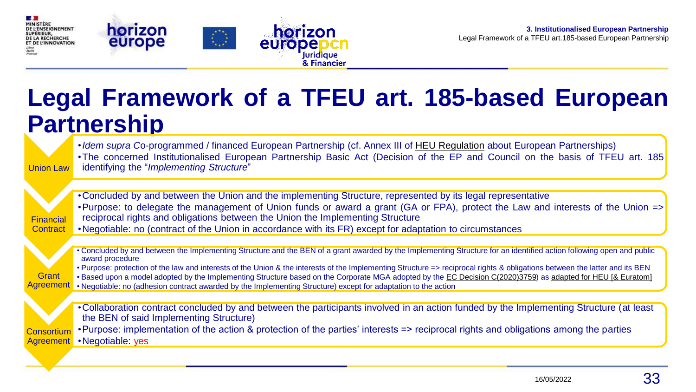

### **Legal Framework of a TFEU art. 185-based European Partnership**

Juridique & Financier

Union Law •*Idem supra C*o-programmed / financed European Partnership (cf. Annex III of HEU [Regulation](http://data.europa.eu/eli/reg/2021/695/oj) about European Partnerships) •The concerned Institutionalised European Partnership Basic Act (Decision of the EP and Council on the basis of TFEU art. 185 identifying the "*Implementing Structure*" Financial **Contract** •Concluded by and between the Union and the implementing Structure, represented by its legal representative •Purpose: to delegate the management of Union funds or award a grant (GA or FPA), protect the Law and interests of the Union => reciprocal rights and obligations between the Union the Implementing Structure •Negotiable: no (contract of the Union in accordance with its FR) except for adaptation to circumstances **Grant** Agreement • Concluded by and between the Implementing Structure and the BEN of a grant awarded by the Implementing Structure for an identified action following open and public award procedure • Purpose: protection of the law and interests of the Union & the interests of the Implementing Structure => reciprocal rights & obligations between the latter and its BEN Based upon a model adopted by the Implementing Structure based on the Corporate MGA adopted by the [EC Decision C\(2020\)3759\)](https://ec.europa.eu/transparency/regdoc/?fuseaction=list&coteId=3&year=2020&number=3759&version=ALL&language=fr) as [adapted for HEU \[& Euratom\]](https://ec.europa.eu/info/funding-tenders/opportunities/docs/2021-2027/common/agr-contr/general-mga_horizon-euratom_en.pdf) • Negotiable: no (adhesion contract awarded by the Implementing Structure) except for adaptation to the action **Consortium** Agreement •Collaboration contract concluded by and between the participants involved in an action funded by the Implementing Structure (at least the BEN of said Implementing Structure) •Purpose: implementation of the action & protection of the parties' interests => reciprocal rights and obligations among the parties •Negotiable: yes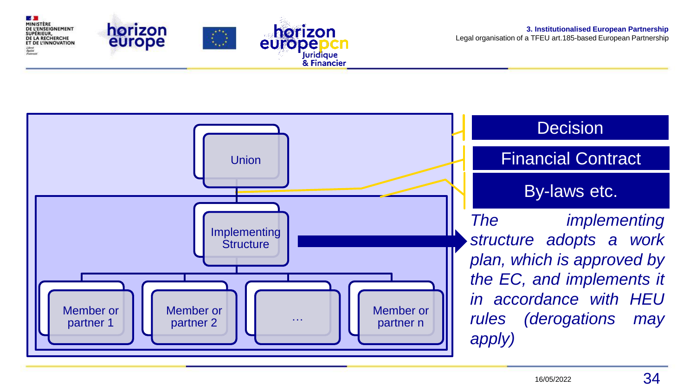

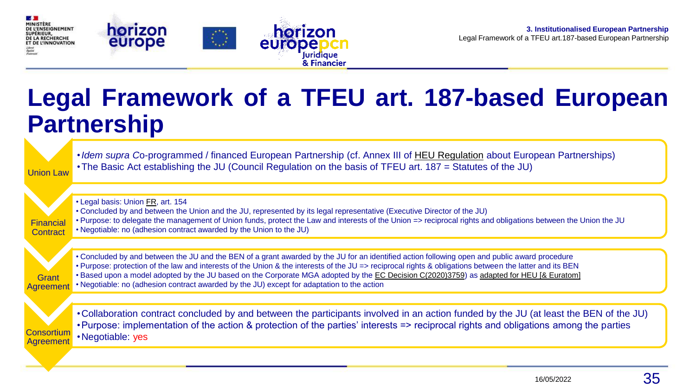

### **Legal Framework of a TFEU art. 187-based European Partnership**

Juridique<br>& Financier

| <b>Union Law</b>             | • Idem supra Co-programmed / financed European Partnership (cf. Annex III of HEU Regulation about European Partnerships)<br>• The Basic Act establishing the JU (Council Regulation on the basis of TFEU art. 187 = Statutes of the JU)                                                                                                                                                                                                                                                                                                            |
|------------------------------|----------------------------------------------------------------------------------------------------------------------------------------------------------------------------------------------------------------------------------------------------------------------------------------------------------------------------------------------------------------------------------------------------------------------------------------------------------------------------------------------------------------------------------------------------|
| <b>Financial</b><br>Contract | • Legal basis: Union FR, art. 154<br>• Concluded by and between the Union and the JU, represented by its legal representative (Executive Director of the JU)<br>• Purpose: to delegate the management of Union funds, protect the Law and interests of the Union => reciprocal rights and obligations between the Union the JU<br>. Negotiable: no (adhesion contract awarded by the Union to the JU)                                                                                                                                              |
| Grant<br><b>Agreement</b>    | • Concluded by and between the JU and the BEN of a grant awarded by the JU for an identified action following open and public award procedure<br>. Purpose: protection of the law and interests of the Union & the interests of the JU => reciprocal rights & obligations between the latter and its BEN<br>• Based upon a model adopted by the JU based on the Corporate MGA adopted by the EC Decision C(2020)3759) as adapted for HEU [& Euratom]<br>• Negotiable: no (adhesion contract awarded by the JU) except for adaptation to the action |
| Consortium<br>Agreement      | •Collaboration contract concluded by and between the participants involved in an action funded by the JU (at least the BEN of the JU)<br>•Purpose: implementation of the action & protection of the parties' interests => reciprocal rights and obligations among the parties<br>•Negotiable: yes                                                                                                                                                                                                                                                  |
|                              |                                                                                                                                                                                                                                                                                                                                                                                                                                                                                                                                                    |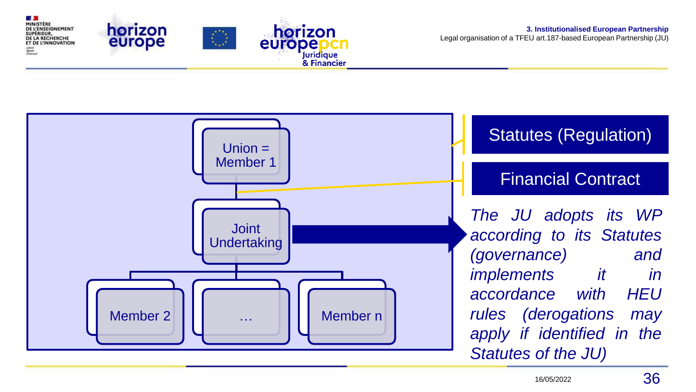horizon DE L'ENSEIGNEMENT horizon DE LA RECHERCHE europe ET DE L'INNOVATION europe Juridique<br>& Financier

**1999** MINISTÈRE

**SUPÉRIEUR** 

**3. Institutionalised European Partnership** Legal organisation of a TFEU art.187-based European Partnership (JU)

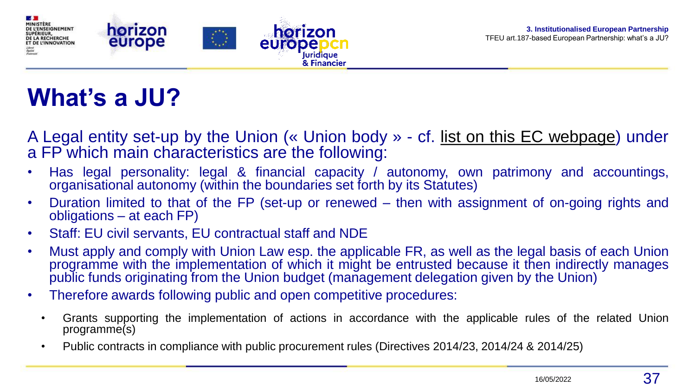

### **What's a JU?**

- A Legal entity set-up by the Union (« Union body » cf. list on this EC [webpage\)](https://europa.eu/european-union/about-eu/agencies_fr) under a FP which main characteristics are the following:
- Has legal personality: legal & financial capacity / autonomy, own patrimony and accountings, organisational autonomy (within the boundaries set forth by its Statutes)
- Duration limited to that of the FP (set-up or renewed then with assignment of on-going rights and obligations – at each FP)
- Staff: EU civil servants, EU contractual staff and NDE
- Must apply and comply with Union Law esp. the applicable FR, as well as the legal basis of each Union programme with the implementation of which it might be entrusted because it then indirectly manages public funds originating from the Union budget (management delegation given by the Union)
- Therefore awards following public and open competitive procedures:
	- Grants supporting the implementation of actions in accordance with the applicable rules of the related Union programme(s)
	- Public contracts in compliance with public procurement rules (Directives 2014/23, 2014/24 & 2014/25)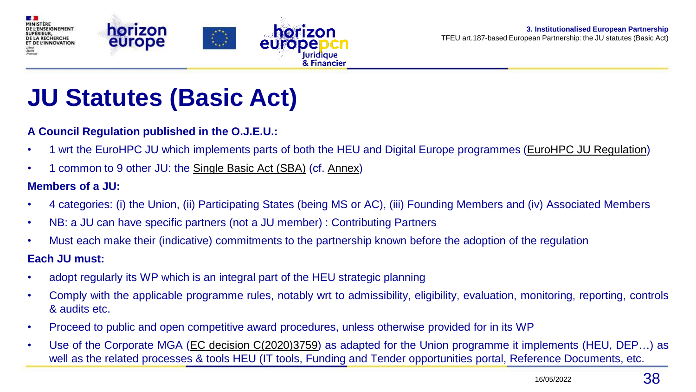

### **JU Statutes (Basic Act)**

#### **A Council Regulation published in the O.J.E.U.:**

- 1 wrt the EuroHPC JU which implements parts of both the HEU and Digital Europe programmes (EuroHPC JU [Regulation\)](http://data.europa.eu/eli/reg/2021/1173/oj)
- 1 common to 9 other JU: the [Single](http://data.europa.eu/eli/reg/2021/2085/oj) Basic Act (SBA) (cf. Annex)

#### **Members of a JU:**

- 4 categories: (i) the Union, (ii) Participating States (being MS or AC), (iii) Founding Members and (iv) Associated Members
- NB: a JU can have specific partners (not a JU member) : Contributing Partners
- Must each make their (indicative) commitments to the partnership known before the adoption of the regulation

#### **Each JU must:**

- adopt regularly its WP which is an integral part of the HEU strategic planning
- Comply with the applicable programme rules, notably wrt to admissibility, eligibility, evaluation, monitoring, reporting, controls & audits etc.
- Proceed to public and open competitive award procedures, unless otherwise provided for in its WP
- Use of the Corporate MGA (EC decision [C\(2020\)3759\)](https://ec.europa.eu/transparency/regdoc/?fuseaction=list&coteId=3&year=2020&number=3759&version=ALL&language=fr) as adapted for the Union programme it implements (HEU, DEP…) as well as the related processes & tools HEU (IT tools, Funding and Tender opportunities portal, Reference Documents, etc.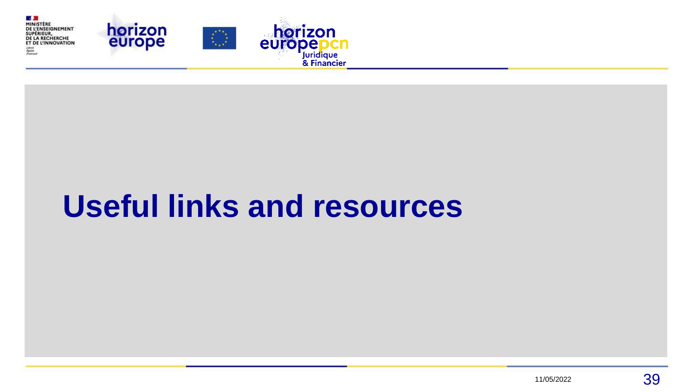

# **Useful links and resources**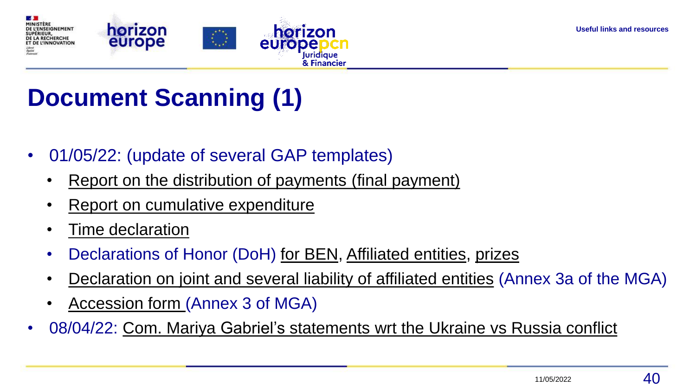

## **Document Scanning (1)**

- 01/05/22: (update of several GAP templates)
	- Report on the [distribution](https://ec.europa.eu/info/funding-tenders/opportunities/docs/2021-2027/common/temp-form/report/report-on-the-distribution-of-payments_en.docx) of payments (final payment)
	- Report on cumulative [expenditure](https://ec.europa.eu/info/funding-tenders/opportunities/docs/2021-2027/common/temp-form/report/report-on-cumulative-expenditure_en.docx)
	- Time [declaration](https://ec.europa.eu/info/funding-tenders/opportunities/docs/2021-2027/common/temp-form/report/time-declaration_en.docx)
	- Declarations of Honor (DoH) for [BEN](https://ec.europa.eu/info/funding-tenders/opportunities/docs/2021-2027/common/temp-form/gap/doh-beneficiaries_en.docx), [Affiliated](https://ec.europa.eu/info/funding-tenders/opportunities/docs/2021-2027/common/temp-form/gap/doh-affiliated-entities_en.docx) entities, [prizes](https://ec.europa.eu/info/funding-tenders/opportunities/docs/2021-2027/common/temp-form/gap/doh-prizes_en.docx)
	- [Declaration](https://ec.europa.eu/info/funding-tenders/opportunities/docs/2021-2027/common/temp-form/gap/declaration-joint-and-several-liability-affiliated-entities_en.pdf) on joint and several liability of affiliated entities (Annex 3a of the MGA)
	- [Accession](https://ec.europa.eu/info/funding-tenders/opportunities/docs/2021-2027/common/temp-form/gap/accession-form_en.pdf) form (Annex 3 of MGA)
- 08/04/22: Com. Mariya Gabriel's [statements](https://ec.europa.eu/commission/presscorner/detail/en/STATEMENT_22_2391) wrt the Ukraine vs Russia conflict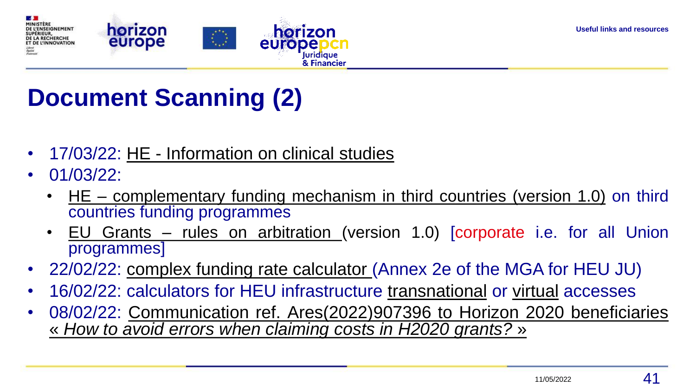

## **Document Scanning (2)**

- 17/03/22: HE [Information](https://ec.europa.eu/info/funding-tenders/opportunities/docs/2021-2027/horizon/temp-form/af/information-on-financial-support-to-third-parties_he_en.docx) on clinical studies
- 01/03/22:
	- HE [complementary](https://ec.europa.eu/info/funding-tenders/opportunities/docs/2021-2027/horizon/guidance/complementary-funding-mechanisms-in-third-countries_he_en.pdf) funding mechanism in third countries (version 1.0) on third countries funding programmes
	- EU Grants rules on [arbitration](https://ec.europa.eu/info/funding-tenders/opportunities/docs/2021-2027/common/guidance/rules-for-arbitration_en.pdf) (version 1.0) [corporate i.e. for all Union programmes]
- 22/02/22: complex funding rate [calculator](https://ec.europa.eu/info/funding-tenders/opportunities/docs/2021-2027/horizon/temp-form/gap/complex-funding-rate-calculator_he-ju_en.xlsx) (Annex 2e of the MGA for HEU JU)
- 16/02/22: calculators for HEU infrastructure [transnational](https://ec.europa.eu/info/funding-tenders/opportunities/docs/2021-2027/horizon/temp-form/af/calculator_he-ri-ta_en.xlsx) or [virtual](https://ec.europa.eu/info/funding-tenders/opportunities/docs/2021-2027/horizon/temp-form/af/calculator_he-ri-va_en.xlsx) accesses
- 08/02/22: Communication ref. [Ares\(2022\)907396](https://ec.europa.eu/research/participants/data/ref/h2020/other/comm/190305_avoiding-errors-when-claiming-costs_en.pdf) to Horizon 2020 beneficiaries « *How to avoid errors when claiming costs in H2020 grants?* »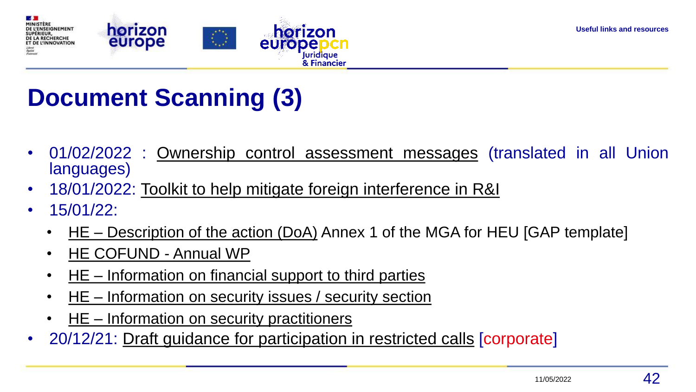

## **Document Scanning (3)**

- 01/02/2022 : Ownership control [assessment](https://ec.europa.eu/info/funding-tenders/opportunities/docs/2021-2027/common/temp-form/lev/ownership-control-assessment-messages_en.pdf) messages (translated in all Union languages)
- 18/01/2022: Toolkit to help mitigate foreign [interference](https://ec.europa.eu/info/news/commission-publishes-toolkit-help-mitigate-foreign-interference-research-and-innovation-2022-jan-18_en) in R&I
- $\cdot$  15/01/22
	- HE [Description](https://ec.europa.eu/info/funding-tenders/opportunities/docs/2021-2027/common/temp-form/gap/doa_horizon-euratom_en.docx) of the action (DoA) Annex 1 of the MGA for HEU [GAP template]
	- HE [COFUND](https://ec.europa.eu/info/funding-tenders/opportunities/docs/2021-2027/common/temp-form/gap/doa_horizon-euratom_en.docx) Annual WP
	- HE [Information](https://ec.europa.eu/info/funding-tenders/opportunities/docs/2021-2027/horizon/temp-form/af/information-on-financial-support-to-third-parties_he_en.docx) on financial support to third parties
	- HE [–](https://ec.europa.eu/info/funding-tenders/opportunities/docs/2021-2027/horizon/temp-form/af/information-on-financial-support-to-third-parties_he_en.docx) [Information](https://ec.europa.eu/info/funding-tenders/opportunities/docs/2021-2027/horizon/temp-form/af/information-on-security-issues-security-section_he_en.docx) on security issues / security section
	- HE [–](https://ec.europa.eu/info/funding-tenders/opportunities/docs/2021-2027/horizon/temp-form/af/information-on-financial-support-to-third-parties_he_en.docx) Information on security [practitioners](https://ec.europa.eu/info/funding-tenders/opportunities/docs/2021-2027/horizon/temp-form/af/information-on-security-practitioners_he_en.docx)
- 20/12/21: Draft guidance for [participation](https://ec.europa.eu/info/funding-tenders/opportunities/docs/2021-2027/common/guidance/guidance-participation-in-dep-he-edf-cef-dig-restricted-calls_dep-he-edf-cef-dig_en.pdf) in restricted calls *[corporate]*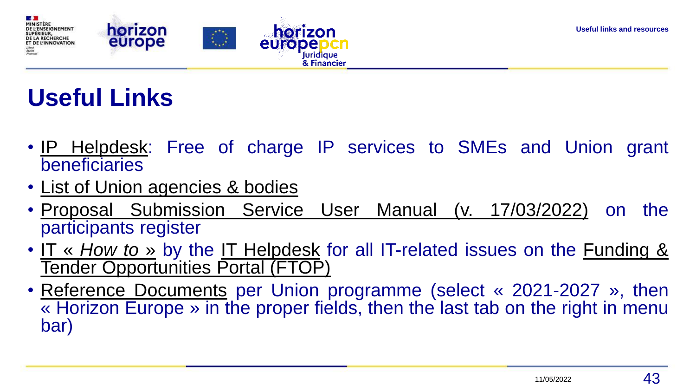

## **Useful Links**

- IP [Helpdesk:](http://www.iprhelpdesk.eu/) Free of charge IP services to SMEs and Union grant beneficiaries
- List of Union [agencies](https://europa.eu/european-union/about-eu/agencies_fr) & bodies
- Proposal Submission Service User Manual (v. [17/03/2022\)](https://ec.europa.eu/research/participants/data/support/sep_usermanual.pdf) on the participants register
- IT « *[How](https://webgate.ec.europa.eu/funding-tenders-opportunities/display/IT/IT+How+to) to* » by the IT [Helpdesk](https://ec.europa.eu/info/funding-tenders/opportunities/portal/screen/support/helpdesks/contact-form) for all IT-related issues on the Funding & Tender [Opportunities](https://ec.europa.eu/info/funding-tenders/opportunities/portal/screen/home) Portal (FTOP)
- Reference [Documents](https://ec.europa.eu/info/funding-tenders/opportunities/portal/screen/how-to-participate/reference-documents) per Union programme (select « 2021-2027 », then « Horizon Europe » in the proper fields, then the last tab on the right in menu bar)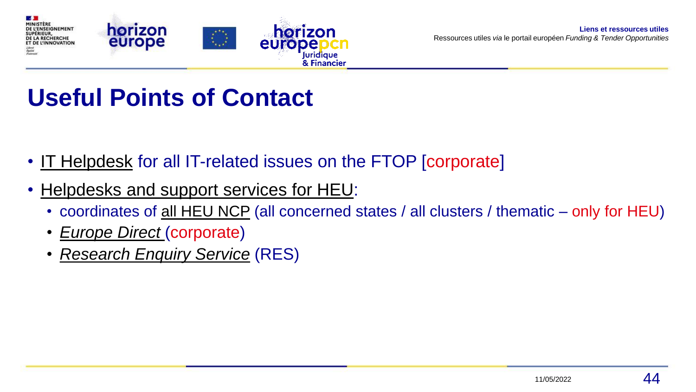

### **Useful Points of Contact**

- IT [Helpdesk](https://ec.europa.eu/info/funding-tenders/opportunities/portal/screen/support/helpdesks/contact-form) for all IT-related issues on the FTOP [corporate]
- [Helpdesks](https://ec.europa.eu/info/funding-tenders/opportunities/portal/screen/support/helpdesks;programCode=HORIZON) and support services for HEU:
	- coordinates of all [HEU](https://ec.europa.eu/info/funding-tenders/opportunities/portal/screen/support/ncp) NCP (all concerned states / all clusters / thematic only for HEU)
	- *[Europe](https://european-union.europa.eu/contact-eu_en) Direct* (corporate)
	- *[Research](https://ec.europa.eu/info/research-and-innovation/contact/research-enquiry-service_en) Enquiry Service* (RES)